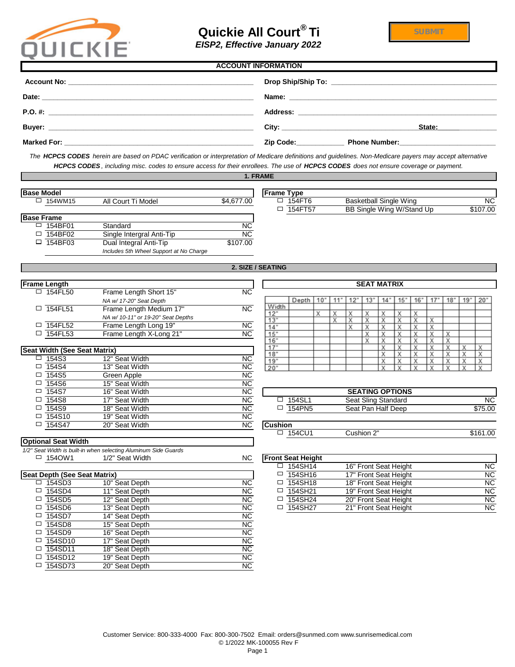

# **Quickie All Court® Ti**

# **Account No: \_\_\_\_\_\_\_\_\_\_\_\_\_\_\_\_\_\_\_\_\_\_\_\_\_\_\_\_\_\_\_\_\_\_\_\_\_\_\_\_\_\_\_\_\_\_\_\_\_\_\_\_\_\_\_\_\_\_\_\_\_\_\_\_\_\_\_\_\_\_\_\_\_\_\_\_\_\_\_\_\_\_\_ Drop Ship/Ship To: \_\_\_\_\_\_\_\_\_\_\_\_\_\_\_\_\_\_\_\_\_\_\_\_\_\_\_\_\_\_\_\_\_\_\_\_\_\_\_\_\_\_\_\_\_\_\_\_\_\_\_\_\_\_\_\_\_\_\_\_\_\_\_\_\_\_\_\_\_\_\_\_\_\_\_\_\_\_\_\_ Date: \_\_\_\_\_\_\_\_\_\_\_\_\_\_\_\_\_\_\_\_\_\_\_\_\_\_\_\_\_\_\_\_\_\_\_\_\_\_\_\_\_\_\_\_\_\_\_\_\_\_\_\_\_\_\_\_\_\_\_\_\_\_\_\_\_\_\_\_\_\_\_\_ Name: \_\_\_\_\_\_\_\_\_\_\_\_\_\_\_\_\_\_\_\_\_\_\_\_\_\_\_\_\_\_\_\_\_\_\_\_\_\_\_\_\_\_\_\_\_\_\_\_\_\_\_\_\_\_\_\_\_\_\_\_\_\_\_\_\_\_\_\_\_\_\_\_\_\_\_\_\_\_\_\_\_\_\_\_\_\_\_\_ P.O. #: \_\_\_\_\_\_\_\_\_\_\_\_\_\_\_\_\_\_\_\_\_\_\_\_\_\_\_\_\_\_\_\_\_\_\_\_\_\_\_\_\_\_\_\_\_\_\_\_\_\_\_\_\_\_\_\_\_\_\_\_\_\_\_\_\_\_\_\_\_\_\_\_ Address: \_\_\_\_\_\_\_\_\_\_\_\_\_\_\_\_\_\_\_\_\_\_\_\_\_\_\_\_\_\_\_\_\_\_\_\_\_\_\_\_\_\_\_\_\_\_\_\_\_\_\_\_\_\_\_\_\_\_\_\_\_\_\_\_\_\_\_\_\_\_\_\_\_\_\_ Buyer: \_\_\_\_\_\_\_\_\_\_\_\_\_\_\_\_\_\_\_\_\_\_\_\_\_\_\_\_\_\_\_\_\_\_\_\_\_\_\_\_\_\_\_\_\_\_\_\_\_\_\_\_\_\_\_\_\_\_\_\_\_\_\_\_\_ City: \_\_\_\_\_\_\_\_\_\_\_\_\_\_\_\_\_\_\_\_\_\_\_\_\_\_\_\_\_\_\_\_\_\_\_\_\_\_\_\_\_\_\_\_\_\_\_\_\_\_\_\_\_\_\_\_\_ State:\_\_\_\_\_\_\_\_\_\_\_\_\_\_\_\_\_\_\_\_\_\_\_\_\_\_ Marked For: \_\_\_\_\_\_\_\_\_\_\_\_\_\_\_\_\_\_\_\_\_\_\_\_\_\_\_\_\_\_\_\_\_\_\_\_\_\_\_\_\_\_\_\_\_\_\_\_\_\_\_\_\_\_\_\_\_\_\_\_\_\_\_\_\_\_\_\_\_\_\_\_\_ Zip Code:\_\_\_\_\_\_\_\_\_\_\_\_\_\_\_\_\_\_\_\_\_\_\_\_\_\_\_\_\_ Phone Number:\_\_\_\_\_\_\_\_\_\_\_\_\_\_\_\_\_\_\_\_\_\_\_\_\_ ACCOUNT INFORMATION** *The HCPCS CODES herein are based on PDAC verification or interpretation of Medicare definitions and guidelines. Non-Medicare payers may accept alternative*

*HCPCS CODES*, including misc. codes to ensure access for their enrollees. The use of **HCPCS CODES** does not ensure coverage or payment. **1. FRAME**

| <b>Base Model</b> |                |                           |            |
|-------------------|----------------|---------------------------|------------|
|                   | $\Box$ 154WM15 | All Court Ti Model        | \$4,677.00 |
|                   |                |                           |            |
| <b>Base Frame</b> |                |                           |            |
|                   | $\Box$ 154BF01 | Standard                  | NС         |
|                   | $\Box$ 154BF02 | Single Intergral Anti-Tip | <b>NC</b>  |
|                   | $\Box$ 154BF03 | Dual Integral Anti-Tip    | \$107.00   |

*Includes 5th Wheel Support at No Charge*

| lodel   |                           |                         | vpe"<br><b>IFrame</b>                     |                               |           |
|---------|---------------------------|-------------------------|-------------------------------------------|-------------------------------|-----------|
| 154WM15 | All C<br>Ti Model<br>Cour | ,677.00<br>.ከ4<br>. O I | 154FT6                                    | <b>Basketball Single Wing</b> | <b>NC</b> |
|         |                           |                         | 154F<br>$\overline{\phantom{a}}$<br>، ب ا | Single Wing W/Stand Up<br>BB  | \$107.00  |
|         |                           |                         |                                           |                               |           |

| 2. SIZE / SEATING |  |
|-------------------|--|
|                   |  |

 $\Gamma$ 

| <b>Frame Length</b> |                                    |     |
|---------------------|------------------------------------|-----|
| $\Box$ 154FL50      | Frame Length Short 15"             | NC. |
|                     | NA w/ 17-20" Seat Depth            |     |
| $\Box$ 154FL51      | Frame Length Medium 17"            | NC. |
|                     | NA w/ 10-11" or 19-20" Seat Depths |     |
| $\Box$ 154FL52      | Frame Length Long 19"              | NC. |
| 154FL53             | Frame Length X-Long 21"            | NC. |

| 18"            |                        |                | <b>Seat Width (See Seat Matrix)</b> |  |
|----------------|------------------------|----------------|-------------------------------------|--|
| $19 -$         | <b>NC</b>              | 12" Seat Width | 154S3                               |  |
| 20"            | <b>NC</b>              | 13" Seat Width | 154S4<br>□                          |  |
|                | <b>NC</b>              | Green Apple    | 154S5                               |  |
|                | <b>NC</b>              | 15" Seat Width | 154S6                               |  |
|                | <b>NC</b>              | 16" Seat Width | 154S7                               |  |
| □ 1            | <b>NC</b>              | 17" Seat Width | 154S8                               |  |
| $\overline{1}$ | <b>NC</b>              | 18" Seat Width | 154S9                               |  |
|                | $\overline{\text{NC}}$ | 19" Seat Width | 154S10<br>□                         |  |
| <b>Cushion</b> | <b>NC</b>              | 20" Seat Width | 154S47                              |  |
|                |                        |                |                                     |  |

**Optional Seat Width**

|             | <b>SEAT MATRIX</b> |                   |   |   |    |         |    |    |   |    |   |        |
|-------------|--------------------|-------------------|---|---|----|---------|----|----|---|----|---|--------|
|             |                    |                   |   |   |    |         |    |    |   |    |   |        |
|             | Depth              | $10^{\circ}$<br>m |   | 2 | 13 | m<br>14 | 15 | 16 |   | 18 | 9 | $20 -$ |
| Width       |                    |                   |   |   |    |         |    |    |   |    |   |        |
| 12"         |                    | Χ                 | Χ | х | Χ  | Χ       | Χ  | х  |   |    |   |        |
| 13"         |                    |                   | Χ | Х | Χ  | Χ       | Χ  | Χ  | Χ |    |   |        |
| 14"         |                    |                   |   | Χ | Χ  | Χ       | Χ  | Χ  | Χ |    |   |        |
| 15"         |                    |                   |   |   | Χ  | Χ       | Χ  | Χ  | Χ | Χ  |   |        |
| 16"         |                    |                   |   |   | Χ  | Χ       | Χ  | Χ  | Х | Χ  |   |        |
| $7^{\circ}$ |                    |                   |   |   |    | χ       | Х  | χ  | χ | χ  | χ | χ      |
| 18"         |                    |                   |   |   |    | Χ       | Χ  | Χ  | Χ | Χ  | Χ | Χ      |
| 19"         |                    |                   |   |   |    | Х       | Χ  | Χ  | Х | Χ  | Х | Χ      |
| 20"         |                    |                   |   |   |    | Y       | v  | v  | Y | v  | v | v      |

| .          | .                                                                         | .      |                               |                            |           |
|------------|---------------------------------------------------------------------------|--------|-------------------------------|----------------------------|-----------|
| 154S7      | Seat Width<br>16"                                                         | ΝC     |                               | <b>SEATING OPTIONS</b>     |           |
| 154S8      | ' Seat Width                                                              | ΝC     | 15491<br>ו ∟ט <del>וי</del> ט | <b>Seat Sling Standard</b> | <b>NC</b> |
| 154S9      | Seat Width<br>18"                                                         | ΝC     | 154PN5<br>一                   | Seat Pan Half Deep         | \$75.00   |
| $1 - 1010$ | $\lambda$ $\sim$ $\sim$ $\sim$ $\lambda$ $\lambda$ $\mu$ $\sim$ $\lambda$ | $\sim$ |                               |                            |           |

 $$161.00$ 

| Cushion       |            |  |
|---------------|------------|--|
| 154CL11<br>ىا | Cushion 2" |  |

|        |                                     | $1/2$ ocal wider is ball-in when selecting Alaminani olde Odards |           |                           |                       |           |
|--------|-------------------------------------|------------------------------------------------------------------|-----------|---------------------------|-----------------------|-----------|
| $\Box$ | 1540W1                              | 1/2" Seat Width                                                  | <b>NC</b> | <b>Front Seat Height</b>  |                       |           |
|        |                                     |                                                                  |           | $\Box$ 154SH14            | 16" Front Seat Height | <b>NC</b> |
|        | <b>Seat Depth (See Seat Matrix)</b> |                                                                  |           | 154SH16<br>□              | 17" Front Seat Height | <b>NC</b> |
| $\Box$ | 154SD3                              | 10" Seat Depth                                                   | ΝC        | $\Box$ 154SH18            | 18" Front Seat Height | <b>NC</b> |
| $\Box$ | 154SD4                              | 11" Seat Depth                                                   | <b>NC</b> | <sup>1</sup> 154SH21<br>□ | 19" Front Seat Height | <b>NC</b> |
| □      | 154SD5                              | 12" Seat Depth                                                   | NC.       | $\Box$ 154SH24            | 20" Front Seat Height | <b>NC</b> |
| □      | 154SD6                              | 13" Seat Depth                                                   | NC.       | $\Box$ 154SH27            | 21" Front Seat Height | <b>NC</b> |
|        | 154SD7                              | 14" Seat Depth                                                   | NC.       |                           |                       |           |
|        |                                     |                                                                  |           |                           |                       |           |

| Seat Depth (See Seat Matrix) |                |           |  |  |  |  |
|------------------------------|----------------|-----------|--|--|--|--|
| 154SD3                       | 10" Seat Depth | <b>NC</b> |  |  |  |  |
| 154SD4                       | 11" Seat Depth | <b>NC</b> |  |  |  |  |
| 154SD5                       | 12" Seat Depth | <b>NC</b> |  |  |  |  |
| 154SD6                       | 13" Seat Depth | <b>NC</b> |  |  |  |  |
| 154SD7                       | 14" Seat Depth | <b>NC</b> |  |  |  |  |
| 154SD8                       | 15" Seat Depth | <b>NC</b> |  |  |  |  |
| 154SD9                       | 16" Seat Depth | <b>NC</b> |  |  |  |  |
| 154SD10                      | 17" Seat Depth | <b>NC</b> |  |  |  |  |
| 154SD11                      | 18" Seat Depth | <b>NC</b> |  |  |  |  |
| 154SD12                      | 19" Seat Depth | <b>NC</b> |  |  |  |  |
| 154SD73                      | 20" Seat Depth | <b>NC</b> |  |  |  |  |

*1/2" Seat Width is built-in when selecting Aluminum Side Guards*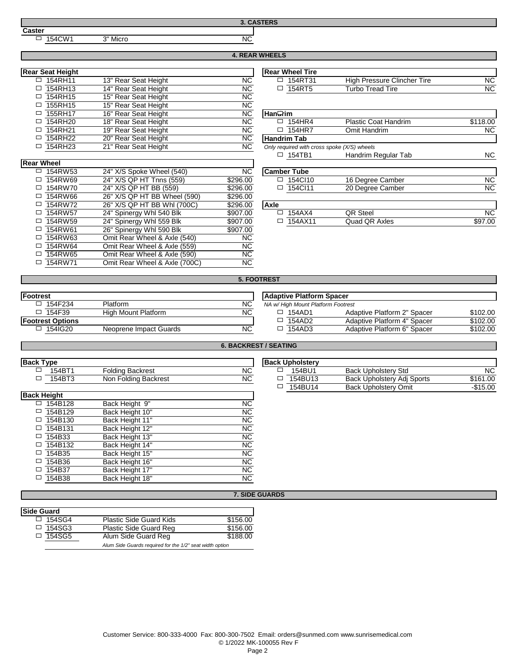#### **Caster**

154CW1 3" Micro 2009 154CW1 3000 154CW 3000 154CW 3000 154CW 2009 154CW 2009 154CW 2009 154CW 2009 154CW 2009 154CW 2009 154CW 2009 154CW 2009 154CW 2009 154CW 2009 154CW 2009 154CW 2009 154CW 2009 154CW 2009 154CW 2009 1

**3. CASTERS**

# **4. REAR WHEELS**

| <b>Rear Seat Height</b> |                      |           | <b>Rear Wheel Tire</b>                      |                  |
|-------------------------|----------------------|-----------|---------------------------------------------|------------------|
| 154RH11<br>$\Box$       | 13" Rear Seat Height | <b>NC</b> | 154RT31<br>$\Box$                           | <b>High Pres</b> |
| 154RH13                 | 14" Rear Seat Height | <b>NC</b> | 154RT5<br>□                                 | Turbo Tre        |
| 154RH15                 | 15" Rear Seat Height | <b>NC</b> |                                             |                  |
| 155RH15                 | 15" Rear Seat Height | <b>NC</b> |                                             |                  |
| 155RH17                 | 16" Rear Seat Height | <b>NC</b> | lHan <del>Q</del> rim                       |                  |
| 154RH20                 | 18" Rear Seat Height | <b>NC</b> | 154HR4<br>$\Box$                            | Plastic Co       |
| 154RH21                 | 19" Rear Seat Height | <b>NC</b> | 154HR7<br>□                                 | Omit Han         |
| 154RH22                 | 20" Rear Seat Height | <b>NC</b> | <b>Handrim Tab</b>                          |                  |
| 154RH23                 | 21" Rear Seat Height | <b>NC</b> | Only required with cross spoke (X/S) wheels |                  |
|                         |                      |           |                                             |                  |

| eat Height |                                                  |           | <b>Rear Wheel Tire</b> |                                |           |
|------------|--------------------------------------------------|-----------|------------------------|--------------------------------|-----------|
| 154RH11    | ' Rear Seat Height                               | <b>NC</b> | 154RT3                 | Pressure Clincher Tire<br>High | <b>NC</b> |
| 154RH13    | $\mathbf{14}^{\mathrm{m}}$<br>' Rear Seat Height | <b>NC</b> | 154RT'                 | <b>Turbo Tread Tire</b>        | ΝC        |
|            |                                                  |           |                        |                                |           |

| 155RH17<br>16" Rear Seat Height<br>NU.              | ı Han <del>u</del> rım                                      |
|-----------------------------------------------------|-------------------------------------------------------------|
| 154RH20<br>18" Rear Seat Height<br><b>NC</b>        | <b>Plastic Coat Handrim</b><br>154HR4<br>\$118.00<br>$\Box$ |
| 154RH21<br>19" Rear Seat Height<br><b>NC</b>        | <b>NC</b><br>154HR7<br>Omit Handrim<br>ப                    |
| 154RH22<br>20" Rear Seat Height<br><b>NC</b>        | <b>Handrim Tab</b>                                          |
| 154RH23<br>21" Rear Seat Height<br><b>NC</b>        | Only required with cross spoke (X/S) wheels                 |
|                                                     | <b>NC</b><br>Handrim Regular Tab<br>$\Box$ 154TB1           |
| heel                                                |                                                             |
| <b>NC</b><br>154RW53<br>24" X/S Spoke Wheel (540)   | <b>Camber Tube</b>                                          |
| 24" X/S QP HT Tnns (559)<br>154RW69<br>\$296.00     | <b>NC</b><br>154Cl10<br>16 Degree Camber<br>$\Box$          |
| 24" X/S QP HT BB (559)<br>154RW70<br>\$296.00       | <b>NC</b><br>$\Box$ 154Cl11<br>20 Degree Camber             |
| 26" X/S QP HT BB Wheel (590)<br>154RW66<br>\$296.00 |                                                             |

| <b>Rear Wheel</b> |                |                               |           |                    |                  |           |
|-------------------|----------------|-------------------------------|-----------|--------------------|------------------|-----------|
|                   | $\Box$ 154RW53 | 24" X/S Spoke Wheel (540)     | <b>NC</b> | <b>Camber Tube</b> |                  |           |
|                   | □ 154RW69      | 24" X/S QP HT Tnns (559)      | \$296.00  | 154Cl10<br>□       | 16 Degree Camber | <b>NC</b> |
|                   | $\Box$ 154RW70 | 24" X/S QP HT BB (559)        | \$296.00  | $\Box$ 154Cl11     | 20 Degree Camber | <b>NC</b> |
|                   | $\Box$ 154RW66 | 26" X/S QP HT BB Wheel (590)  | \$296.00  |                    |                  |           |
|                   | $\Box$ 154RW72 | 26" X/S QP HT BB Whl (700C)   | \$296.00  | <b>Axle</b>        |                  |           |
|                   | $\Box$ 154RW57 | 24" Spinergy Whl 540 Blk      | \$907.00  | 154AX4<br>□        | <b>QR Steel</b>  | <b>NC</b> |
|                   | $\Box$ 154RW59 | 24" Spinergy Whl 559 Blk      | \$907.00  | $\Box$ 154AX11     | Quad QR Axles    | \$97.00   |
|                   | □ 154RW61      | 26" Spinergy Whl 590 Blk      | \$907.00  |                    |                  |           |
|                   | □ 154RW63      | Omit Rear Wheel & Axle (540)  | <b>NC</b> |                    |                  |           |
|                   | $\Box$ 154RW64 | Omit Rear Wheel & Axle (559)  | <b>NC</b> |                    |                  |           |
|                   | $\Box$ 154RW65 | Omit Rear Wheel & Axle (590)  | <b>NC</b> |                    |                  |           |
|                   | □ 154RW71      | Omit Rear Wheel & Axle (700C) | <b>NC</b> |                    |                  |           |

| <b>NC</b>            |  |
|----------------------|--|
| $\ddot{\phantom{1}}$ |  |

**5. FOOTREST**

**6. BACKREST / SEATING**

| <b>Footrest</b>         |                        |           |        | <b>Adaptive Platform Spacer</b>    |    |
|-------------------------|------------------------|-----------|--------|------------------------------------|----|
| 154F234<br>□            | <b>Platform</b>        | <b>NC</b> |        | NA w/ High Mount Platform Footrest |    |
| 154F39<br>$\Box$        | High Mount Platform    | <b>NC</b> | $\Box$ | 154AD1                             | Ad |
| <b>Footrest Options</b> |                        |           | □      | 154AD2                             | Ad |
| 154IG20                 | Neoprene Impact Guards | <b>NC</b> |        | 154AD3                             | Ad |

|            |                        |           | Adaptive Platform Spacer          |                             |          |
|------------|------------------------|-----------|-----------------------------------|-----------------------------|----------|
| 154F234    | <b>Platform</b>        | <b>NC</b> | NA w/High Mount Platform Footrest |                             |          |
| 154F39     | High Mount Platform    | <b>NC</b> | 154AD1                            | Adaptive Platform 2" Spacer | \$102.00 |
| st Options |                        |           | 154AD2                            | Adaptive Platform 4" Spacer | \$102.00 |
| 154IG20    | Neoprene Impact Guards | <b>NC</b> | 154AD3                            | Adaptive Platform 6" Spacer | \$102.00 |

| <b>Back Type</b>   |                         | <b>Back Upholstery</b> |
|--------------------|-------------------------|------------------------|
| 154BT1             | <b>Folding Backrest</b> | <b>NC</b><br>154BU1    |
| 154BT3<br>□        | Non Folding Backrest    | <b>NC</b><br>154BU13   |
|                    |                         | 154BU14                |
| <b>Back Height</b> |                         |                        |
| 154B128            | Back Height 9"          | <b>NC</b>              |
| 154B129            | Back Height 10"         | <b>NC</b>              |
| 154B130            | Back Height 11"         | <b>NC</b>              |
| 154B131            | Back Height 12"         | <b>NC</b>              |
| 154B33<br>$\Box$   | Back Height 13"         | <b>NC</b>              |
| 154B132            | Back Height 14"         | <b>NC</b>              |
| 154B35             | Back Height 15"         | <b>NC</b>              |
| 154B36             | Back Height 16"         | <b>NC</b>              |
| 154B37             | Back Height 17"         | <b>NC</b>              |
| 154B38             | Back Height 18"         | <b>NC</b>              |
|                    |                         |                        |

| рe     |                         |           | <b>Back Upholstery</b> |                             |           |
|--------|-------------------------|-----------|------------------------|-----------------------------|-----------|
| 154BT1 | <b>Folding Backrest</b> | <b>NC</b> | 154BU1<br>_            | <b>Back Upholstery Std</b>  | <b>NC</b> |
| 154BT3 | Non Folding Backrest    | <b>NC</b> | 154BU13                | Back Upholstery Adj Sports  | \$161.00  |
|        |                         |           | 154BU14                | <b>Back Upholstery Omit</b> | $-$15.00$ |
|        |                         |           |                        |                             |           |

### **7. SIDE GUARDS**

| <b>Side Guard</b> |                                                          |          |  |  |
|-------------------|----------------------------------------------------------|----------|--|--|
| $\Box$ 154SG4     | <b>Plastic Side Guard Kids</b>                           | \$156.00 |  |  |
| $\Box$ 154SG3     | <b>Plastic Side Guard Reg.</b>                           | \$156.00 |  |  |
| $\Box$ 154SG5     | Alum Side Guard Reg                                      | \$188.00 |  |  |
|                   | Alum Side Guards required for the 1/2" seat width option |          |  |  |